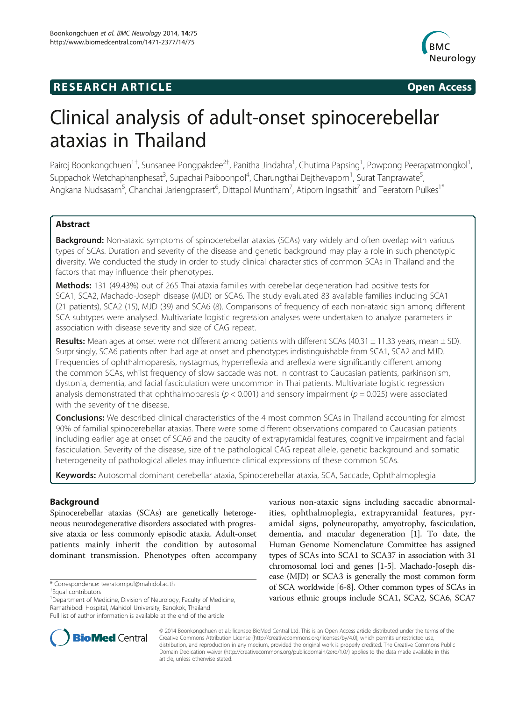# **RESEARCH ARTICLE Example 2014 CONSIDERING CONSIDERING CONSIDERING CONSIDERING CONSIDERING CONSIDERING CONSIDERING CONSIDERING CONSIDERING CONSIDERING CONSIDERING CONSIDERING CONSIDERING CONSIDERING CONSIDERING CONSIDE**



# Clinical analysis of adult-onset spinocerebellar ataxias in Thailand

Pairoj Boonkongchuen<sup>1†</sup>, Sunsanee Pongpakdee<sup>2†</sup>, Panitha Jindahra<sup>1</sup>, Chutima Papsing<sup>1</sup>, Powpong Peerapatmongkol<sup>1</sup> , Suppachok Wetchaphanphesat<sup>3</sup>, Supachai Paiboonpol<sup>4</sup>, Charungthai Dejthevaporn<sup>1</sup>, Surat Tanprawate<sup>5</sup> , Angkana Nudsasarn<sup>5</sup>, Chanchai Jariengprasert<sup>6</sup>, Dittapol Muntham<sup>7</sup>, Atiporn Ingsathit<sup>7</sup> and Teeratorn Pulkes<sup>1\*</sup>

# Abstract

**Background:** Non-ataxic symptoms of spinocerebellar ataxias (SCAs) vary widely and often overlap with various types of SCAs. Duration and severity of the disease and genetic background may play a role in such phenotypic diversity. We conducted the study in order to study clinical characteristics of common SCAs in Thailand and the factors that may influence their phenotypes.

Methods: 131 (49.43%) out of 265 Thai ataxia families with cerebellar degeneration had positive tests for SCA1, SCA2, Machado-Joseph disease (MJD) or SCA6. The study evaluated 83 available families including SCA1 (21 patients), SCA2 (15), MJD (39) and SCA6 (8). Comparisons of frequency of each non-ataxic sign among different SCA subtypes were analysed. Multivariate logistic regression analyses were undertaken to analyze parameters in association with disease severity and size of CAG repeat.

Results: Mean ages at onset were not different among patients with different SCAs (40.31  $\pm$  11.33 years, mean  $\pm$  SD). Surprisingly, SCA6 patients often had age at onset and phenotypes indistinguishable from SCA1, SCA2 and MJD. Frequencies of ophthalmoparesis, nystagmus, hyperreflexia and areflexia were significantly different among the common SCAs, whilst frequency of slow saccade was not. In contrast to Caucasian patients, parkinsonism, dystonia, dementia, and facial fasciculation were uncommon in Thai patients. Multivariate logistic regression analysis demonstrated that ophthalmoparesis ( $p < 0.001$ ) and sensory impairment ( $p = 0.025$ ) were associated with the severity of the disease.

**Conclusions:** We described clinical characteristics of the 4 most common SCAs in Thailand accounting for almost 90% of familial spinocerebellar ataxias. There were some different observations compared to Caucasian patients including earlier age at onset of SCA6 and the paucity of extrapyramidal features, cognitive impairment and facial fasciculation. Severity of the disease, size of the pathological CAG repeat allele, genetic background and somatic heterogeneity of pathological alleles may influence clinical expressions of these common SCAs.

Keywords: Autosomal dominant cerebellar ataxia, Spinocerebellar ataxia, SCA, Saccade, Ophthalmoplegia

# Background

Spinocerebellar ataxias (SCAs) are genetically heterogeneous neurodegenerative disorders associated with progressive ataxia or less commonly episodic ataxia. Adult-onset patients mainly inherit the condition by autosomal dominant transmission. Phenotypes often accompany

\* Correspondence: [teeratorn.pul@mahidol.ac.th](mailto:teeratorn.pul@mahidol.ac.th) †

Equal contributors

<sup>1</sup> Department of Medicine, Division of Neurology, Faculty of Medicine, Ramathibodi Hospital, Mahidol University, Bangkok, Thailand Full list of author information is available at the end of the article

various non-ataxic signs including saccadic abnormalities, ophthalmoplegia, extrapyramidal features, pyramidal signs, polyneuropathy, amyotrophy, fasciculation, dementia, and macular degeneration [\[1\]](#page-7-0). To date, the Human Genome Nomenclature Committee has assigned types of SCAs into SCA1 to SCA37 in association with 31 chromosomal loci and genes [\[1](#page-7-0)-[5](#page-7-0)]. Machado-Joseph disease (MJD) or SCA3 is generally the most common form of SCA worldwide [\[6](#page-7-0)-[8](#page-7-0)]. Other common types of SCAs in various ethnic groups include SCA1, SCA2, SCA6, SCA7



© 2014 Boonkongchuen et al.; licensee BioMed Central Ltd. This is an Open Access article distributed under the terms of the Creative Commons Attribution License (<http://creativecommons.org/licenses/by/4.0>), which permits unrestricted use, distribution, and reproduction in any medium, provided the original work is properly credited. The Creative Commons Public Domain Dedication waiver [\(http://creativecommons.org/publicdomain/zero/1.0/\)](http://creativecommons.org/publicdomain/zero/1.0/) applies to the data made available in this article, unless otherwise stated.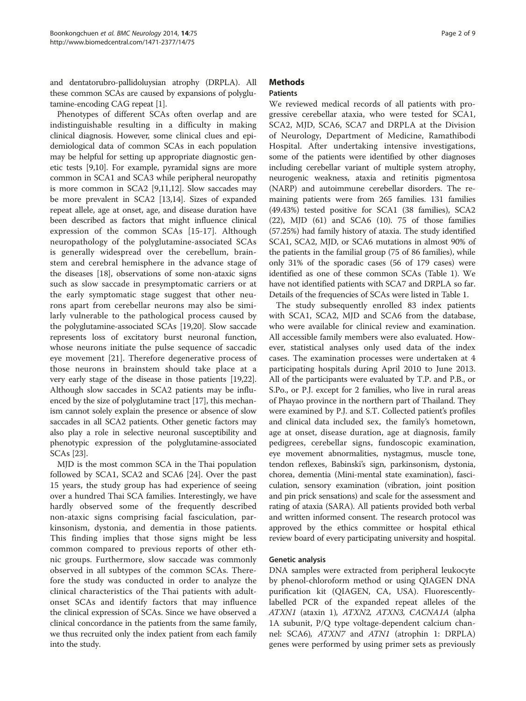and dentatorubro-pallidoluysian atrophy (DRPLA). All these common SCAs are caused by expansions of polyglutamine-encoding CAG repeat [\[1](#page-7-0)].

Phenotypes of different SCAs often overlap and are indistinguishable resulting in a difficulty in making clinical diagnosis. However, some clinical clues and epidemiological data of common SCAs in each population may be helpful for setting up appropriate diagnostic genetic tests [[9,10](#page-7-0)]. For example, pyramidal signs are more common in SCA1 and SCA3 while peripheral neuropathy is more common in SCA2 [[9,11,12\]](#page-7-0). Slow saccades may be more prevalent in SCA2 [\[13,14\]](#page-7-0). Sizes of expanded repeat allele, age at onset, age, and disease duration have been described as factors that might influence clinical expression of the common SCAs [\[15](#page-7-0)-[17\]](#page-7-0). Although neuropathology of the polyglutamine-associated SCAs is generally widespread over the cerebellum, brainstem and cerebral hemisphere in the advance stage of the diseases [[18](#page-7-0)], observations of some non-ataxic signs such as slow saccade in presymptomatic carriers or at the early symptomatic stage suggest that other neurons apart from cerebellar neurons may also be similarly vulnerable to the pathological process caused by the polyglutamine-associated SCAs [[19,20](#page-7-0)]. Slow saccade represents loss of excitatory burst neuronal function, whose neurons initiate the pulse sequence of saccadic eye movement [[21\]](#page-7-0). Therefore degenerative process of those neurons in brainstem should take place at a very early stage of the disease in those patients [\[19,22](#page-7-0)]. Although slow saccades in SCA2 patients may be influenced by the size of polyglutamine tract [[17\]](#page-7-0), this mechanism cannot solely explain the presence or absence of slow saccades in all SCA2 patients. Other genetic factors may also play a role in selective neuronal susceptibility and phenotypic expression of the polyglutamine-associated SCAs [[23](#page-7-0)].

MJD is the most common SCA in the Thai population followed by SCA1, SCA2 and SCA6 [[24](#page-7-0)]. Over the past 15 years, the study group has had experience of seeing over a hundred Thai SCA families. Interestingly, we have hardly observed some of the frequently described non-ataxic signs comprising facial fasciculation, parkinsonism, dystonia, and dementia in those patients. This finding implies that those signs might be less common compared to previous reports of other ethnic groups. Furthermore, slow saccade was commonly observed in all subtypes of the common SCAs. Therefore the study was conducted in order to analyze the clinical characteristics of the Thai patients with adultonset SCAs and identify factors that may influence the clinical expression of SCAs. Since we have observed a clinical concordance in the patients from the same family, we thus recruited only the index patient from each family into the study.

# Methods

# **Patients**

We reviewed medical records of all patients with progressive cerebellar ataxia, who were tested for SCA1, SCA2, MJD, SCA6, SCA7 and DRPLA at the Division of Neurology, Department of Medicine, Ramathibodi Hospital. After undertaking intensive investigations, some of the patients were identified by other diagnoses including cerebellar variant of multiple system atrophy, neurogenic weakness, ataxia and retinitis pigmentosa (NARP) and autoimmune cerebellar disorders. The remaining patients were from 265 families. 131 families (49.43%) tested positive for SCA1 (38 families), SCA2 (22), MJD (61) and SCA6 (10). 75 of those families (57.25%) had family history of ataxia. The study identified SCA1, SCA2, MJD, or SCA6 mutations in almost 90% of the patients in the familial group (75 of 86 families), while only 31% of the sporadic cases (56 of 179 cases) were identified as one of these common SCAs (Table [1](#page-2-0)). We have not identified patients with SCA7 and DRPLA so far. Details of the frequencies of SCAs were listed in Table [1.](#page-2-0)

The study subsequently enrolled 83 index patients with SCA1, SCA2, MJD and SCA6 from the database, who were available for clinical review and examination. All accessible family members were also evaluated. However, statistical analyses only used data of the index cases. The examination processes were undertaken at 4 participating hospitals during April 2010 to June 2013. All of the participants were evaluated by T.P. and P.B., or S.Po., or P.J. except for 2 families, who live in rural areas of Phayao province in the northern part of Thailand. They were examined by P.J. and S.T. Collected patient's profiles and clinical data included sex, the family's hometown, age at onset, disease duration, age at diagnosis, family pedigrees, cerebellar signs, fundoscopic examination, eye movement abnormalities, nystagmus, muscle tone, tendon reflexes, Babinski's sign, parkinsonism, dystonia, chorea, dementia (Mini-mental state examination), fasciculation, sensory examination (vibration, joint position and pin prick sensations) and scale for the assessment and rating of ataxia (SARA). All patients provided both verbal and written informed consent. The research protocol was approved by the ethics committee or hospital ethical review board of every participating university and hospital.

# Genetic analysis

DNA samples were extracted from peripheral leukocyte by phenol-chloroform method or using QIAGEN DNA purification kit (QIAGEN, CA, USA). Fluorescentlylabelled PCR of the expanded repeat alleles of the ATXN1 (ataxin 1), ATXN2, ATXN3, CACNA1A (alpha 1A subunit, P/Q type voltage-dependent calcium channel: SCA6), ATXN7 and ATN1 (atrophin 1: DRPLA) genes were performed by using primer sets as previously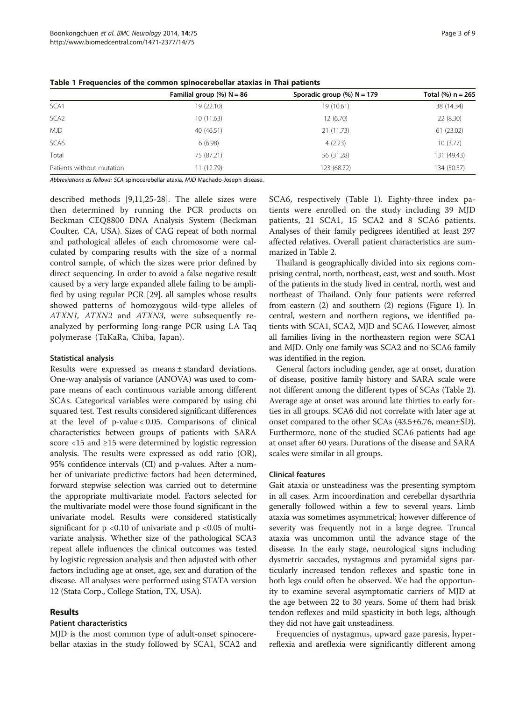|                           | Familial group $%$ ) N = 86 | Sporadic group $%$ N = 179 | Total $(%) n = 265$ |
|---------------------------|-----------------------------|----------------------------|---------------------|
| SCA1                      | 19(22.10)                   | 19 (10.61)                 | 38 (14.34)          |
| SCA <sub>2</sub>          | 10(11.63)                   | 12 (6.70)                  | 22(8.30)            |
| <b>MJD</b>                | 40 (46.51)                  | 21 (11.73)                 | 61(23.02)           |
| SCA6                      | 6(6.98)                     | 4(2.23)                    | 10(3.77)            |
| Total                     | 75 (87.21)                  | 56 (31.28)                 | 131 (49.43)         |
| Patients without mutation | 11 (12.79)                  | 123 (68.72)                | 134 (50.57)         |

<span id="page-2-0"></span>Table 1 Frequencies of the common spinocerebellar ataxias in Thai patients

Abbreviations as follows: SCA spinocerebellar ataxia, MJD Machado-Joseph disease.

described methods [\[9,11](#page-7-0)[,25-28](#page-8-0)]. The allele sizes were then determined by running the PCR products on Beckman CEQ8800 DNA Analysis System (Beckman Coulter, CA, USA). Sizes of CAG repeat of both normal and pathological alleles of each chromosome were calculated by comparing results with the size of a normal control sample, of which the sizes were prior defined by direct sequencing. In order to avoid a false negative result caused by a very large expanded allele failing to be amplified by using regular PCR [\[29\]](#page-8-0). all samples whose results showed patterns of homozygous wild-type alleles of ATXN1, ATXN2 and ATXN3, were subsequently reanalyzed by performing long-range PCR using LA Taq polymerase (TaKaRa, Chiba, Japan).

#### Statistical analysis

Results were expressed as means ± standard deviations. One-way analysis of variance (ANOVA) was used to compare means of each continuous variable among different SCAs. Categorical variables were compared by using chi squared test. Test results considered significant differences at the level of p-value < 0.05. Comparisons of clinical characteristics between groups of patients with SARA score <15 and ≥15 were determined by logistic regression analysis. The results were expressed as odd ratio (OR), 95% confidence intervals (CI) and p-values. After a number of univariate predictive factors had been determined, forward stepwise selection was carried out to determine the appropriate multivariate model. Factors selected for the multivariate model were those found significant in the univariate model. Results were considered statistically significant for  $p \le 0.10$  of univariate and  $p \le 0.05$  of multivariate analysis. Whether size of the pathological SCA3 repeat allele influences the clinical outcomes was tested by logistic regression analysis and then adjusted with other factors including age at onset, age, sex and duration of the disease. All analyses were performed using STATA version 12 (Stata Corp., College Station, TX, USA).

# Results

# Patient characteristics

MJD is the most common type of adult-onset spinocerebellar ataxias in the study followed by SCA1, SCA2 and SCA6, respectively (Table 1). Eighty-three index patients were enrolled on the study including 39 MJD patients, 21 SCA1, 15 SCA2 and 8 SCA6 patients. Analyses of their family pedigrees identified at least 297 affected relatives. Overall patient characteristics are summarized in Table [2](#page-3-0).

Thailand is geographically divided into six regions comprising central, north, northeast, east, west and south. Most of the patients in the study lived in central, north, west and northeast of Thailand. Only four patients were referred from eastern (2) and southern (2) regions (Figure [1\)](#page-4-0). In central, western and northern regions, we identified patients with SCA1, SCA2, MJD and SCA6. However, almost all families living in the northeastern region were SCA1 and MJD. Only one family was SCA2 and no SCA6 family was identified in the region.

General factors including gender, age at onset, duration of disease, positive family history and SARA scale were not different among the different types of SCAs (Table [2](#page-3-0)). Average age at onset was around late thirties to early forties in all groups. SCA6 did not correlate with later age at onset compared to the other SCAs (43.5±6.76, mean±SD). Furthermore, none of the studied SCA6 patients had age at onset after 60 years. Durations of the disease and SARA scales were similar in all groups.

# Clinical features

Gait ataxia or unsteadiness was the presenting symptom in all cases. Arm incoordination and cerebellar dysarthria generally followed within a few to several years. Limb ataxia was sometimes asymmetrical; however difference of severity was frequently not in a large degree. Truncal ataxia was uncommon until the advance stage of the disease. In the early stage, neurological signs including dysmetric saccades, nystagmus and pyramidal signs particularly increased tendon reflexes and spastic tone in both legs could often be observed. We had the opportunity to examine several asymptomatic carriers of MJD at the age between 22 to 30 years. Some of them had brisk tendon reflexes and mild spasticity in both legs, although they did not have gait unsteadiness.

Frequencies of nystagmus, upward gaze paresis, hyperreflexia and areflexia were significantly different among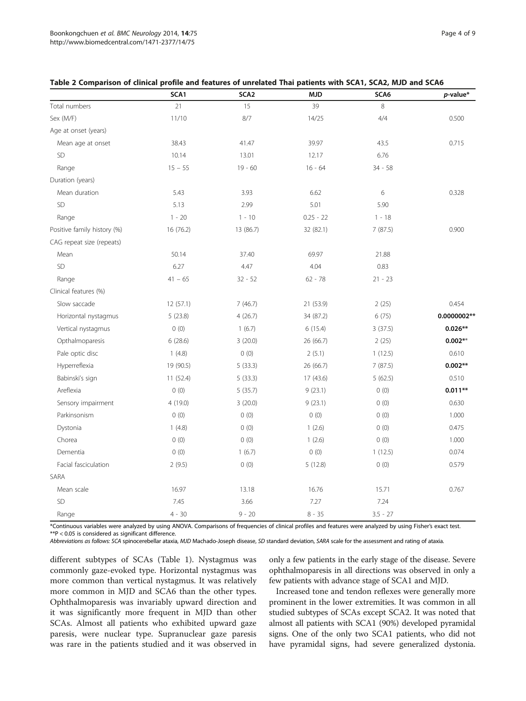|                             | SCA1      | SCA <sub>2</sub> | <b>MJD</b>  | SCA6       | $p$ -value* |
|-----------------------------|-----------|------------------|-------------|------------|-------------|
| Total numbers               | 21        | 15               | 39          | 8          |             |
| Sex (M/F)                   | 11/10     | 8/7              | 14/25       | 4/4        | 0.500       |
| Age at onset (years)        |           |                  |             |            |             |
| Mean age at onset           | 38.43     | 41.47            | 39.97       | 43.5       | 0.715       |
| <b>SD</b>                   | 10.14     | 13.01            | 12.17       | 6.76       |             |
| Range                       | $15 - 55$ | $19 - 60$        | $16 - 64$   | $34 - 58$  |             |
| Duration (years)            |           |                  |             |            |             |
| Mean duration               | 5.43      | 3.93             | 6.62        | 6          | 0.328       |
| SD                          | 5.13      | 2.99             | 5.01        | 5.90       |             |
| Range                       | $1 - 20$  | $1 - 10$         | $0.25 - 22$ | $1 - 18$   |             |
| Positive family history (%) | 16 (76.2) | 13 (86.7)        | 32 (82.1)   | 7(87.5)    | 0.900       |
| CAG repeat size (repeats)   |           |                  |             |            |             |
| Mean                        | 50.14     | 37.40            | 69.97       | 21.88      |             |
| SD                          | 6.27      | 4.47             | 4.04        | 0.83       |             |
| Range                       | $41 - 65$ | $32 - 52$        | $62 - 78$   | $21 - 23$  |             |
| Clinical features (%)       |           |                  |             |            |             |
| Slow saccade                | 12 (57.1) | 7(46.7)          | 21 (53.9)   | 2(25)      | 0.454       |
| Horizontal nystagmus        | 5(23.8)   | 4(26.7)          | 34 (87.2)   | 6(75)      | 0.0000002** |
| Vertical nystagmus          | 0(0)      | 1(6.7)           | 6(15.4)     | 3(37.5)    | $0.026**$   |
| Opthalmoparesis             | 6(28.6)   | 3(20.0)          | 26 (66.7)   | 2(25)      | $0.002**$   |
| Pale optic disc             | 1(4.8)    | 0(0)             | 2(5.1)      | 1(12.5)    | 0.610       |
| Hyperreflexia               | 19 (90.5) | 5(33.3)          | 26 (66.7)   | 7(87.5)    | $0.002**$   |
| Babinski's sign             | 11 (52.4) | 5(33.3)          | 17 (43.6)   | 5(62.5)    | 0.510       |
| Areflexia                   | 0(0)      | 5(35.7)          | 9(23.1)     | 0(0)       | $0.011**$   |
| Sensory impairment          | 4 (19.0)  | 3(20.0)          | 9(23.1)     | 0(0)       | 0.630       |
| Parkinsonism                | 0(0)      | 0(0)             | 0(0)        | 0(0)       | 1.000       |
| Dystonia                    | 1(4.8)    | 0(0)             | 1(2.6)      | 0(0)       | 0.475       |
| Chorea                      | 0(0)      | 0(0)             | 1(2.6)      | 0(0)       | 1.000       |
| Dementia                    | 0(0)      | 1(6.7)           | 0(0)        | 1(12.5)    | 0.074       |
| Facial fasciculation        | 2(9.5)    | 0(0)             | 5(12.8)     | 0(0)       | 0.579       |
| SARA                        |           |                  |             |            |             |
| Mean scale                  | 16.97     | 13.18            | 16.76       | 15.71      | 0.767       |
| SD                          | 7.45      | 3.66             | 7.27        | 7.24       |             |
| Range                       | $4 - 30$  | $9 - 20$         | $8 - 35$    | $3.5 - 27$ |             |

#### <span id="page-3-0"></span>Table 2 Comparison of clinical profile and features of unrelated Thai patients with SCA1, SCA2, MJD and SCA6

\*Continuous variables were analyzed by using ANOVA. Comparisons of frequencies of clinical profiles and features were analyzed by using Fisher's exact test. \*\*P < 0.05 is considered as significant difference.

Abbreviations as follows: SCA spinocerebellar ataxia, MJD Machado-Joseph disease, SD standard deviation, SARA scale for the assessment and rating of ataxia.

different subtypes of SCAs (Table [1](#page-2-0)). Nystagmus was commonly gaze-evoked type. Horizontal nystagmus was more common than vertical nystagmus. It was relatively more common in MJD and SCA6 than the other types. Ophthalmoparesis was invariably upward direction and it was significantly more frequent in MJD than other SCAs. Almost all patients who exhibited upward gaze paresis, were nuclear type. Supranuclear gaze paresis was rare in the patients studied and it was observed in

only a few patients in the early stage of the disease. Severe ophthalmoparesis in all directions was observed in only a few patients with advance stage of SCA1 and MJD.

Increased tone and tendon reflexes were generally more prominent in the lower extremities. It was common in all studied subtypes of SCAs except SCA2. It was noted that almost all patients with SCA1 (90%) developed pyramidal signs. One of the only two SCA1 patients, who did not have pyramidal signs, had severe generalized dystonia.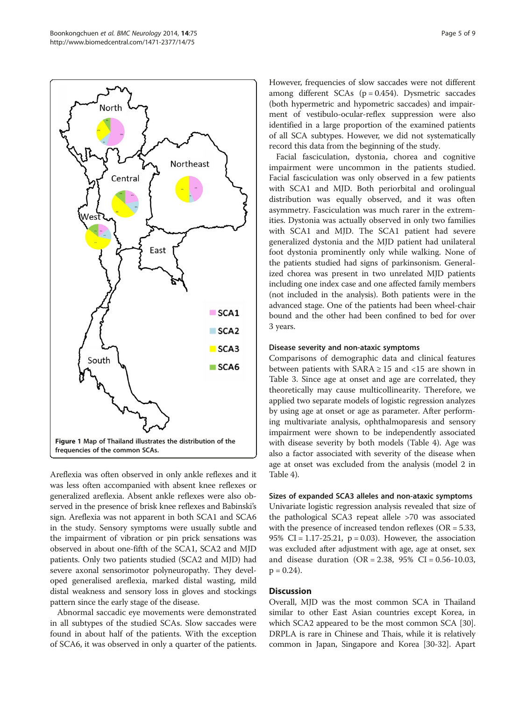<span id="page-4-0"></span>

Areflexia was often observed in only ankle reflexes and it was less often accompanied with absent knee reflexes or generalized areflexia. Absent ankle reflexes were also observed in the presence of brisk knee reflexes and Babinski's sign. Areflexia was not apparent in both SCA1 and SCA6 in the study. Sensory symptoms were usually subtle and the impairment of vibration or pin prick sensations was observed in about one-fifth of the SCA1, SCA2 and MJD patients. Only two patients studied (SCA2 and MJD) had severe axonal sensorimotor polyneuropathy. They developed generalised areflexia, marked distal wasting, mild distal weakness and sensory loss in gloves and stockings pattern since the early stage of the disease.

Abnormal saccadic eye movements were demonstrated in all subtypes of the studied SCAs. Slow saccades were found in about half of the patients. With the exception of SCA6, it was observed in only a quarter of the patients. However, frequencies of slow saccades were not different among different SCAs ( $p = 0.454$ ). Dysmetric saccades (both hypermetric and hypometric saccades) and impairment of vestibulo-ocular-reflex suppression were also identified in a large proportion of the examined patients of all SCA subtypes. However, we did not systematically record this data from the beginning of the study.

Facial fasciculation, dystonia, chorea and cognitive impairment were uncommon in the patients studied. Facial fasciculation was only observed in a few patients with SCA1 and MJD. Both periorbital and orolingual distribution was equally observed, and it was often asymmetry. Fasciculation was much rarer in the extremities. Dystonia was actually observed in only two families with SCA1 and MJD. The SCA1 patient had severe generalized dystonia and the MJD patient had unilateral foot dystonia prominently only while walking. None of the patients studied had signs of parkinsonism. Generalized chorea was present in two unrelated MJD patients including one index case and one affected family members (not included in the analysis). Both patients were in the advanced stage. One of the patients had been wheel-chair bound and the other had been confined to bed for over 3 years.

#### Disease severity and non-ataxic symptoms

Comparisons of demographic data and clinical features between patients with  $SARA \geq 15$  and <15 are shown in Table [3.](#page-5-0) Since age at onset and age are correlated, they theoretically may cause multicollinearity. Therefore, we applied two separate models of logistic regression analyzes by using age at onset or age as parameter. After performing multivariate analysis, ophthalmoparesis and sensory impairment were shown to be independently associated with disease severity by both models (Table [4\)](#page-5-0). Age was also a factor associated with severity of the disease when age at onset was excluded from the analysis (model 2 in Table [4\)](#page-5-0).

Sizes of expanded SCA3 alleles and non-ataxic symptoms Univariate logistic regression analysis revealed that size of the pathological SCA3 repeat allele >70 was associated with the presence of increased tendon reflexes ( $OR = 5.33$ , 95% CI = 1.17-25.21,  $p = 0.03$ ). However, the association was excluded after adjustment with age, age at onset, sex and disease duration (OR = 2.38,  $95\%$  CI = 0.56-10.03,  $p = 0.24$ .

#### **Discussion**

Overall, MJD was the most common SCA in Thailand similar to other East Asian countries except Korea, in which SCA2 appeared to be the most common SCA [[30](#page-8-0)]. DRPLA is rare in Chinese and Thais, while it is relatively common in Japan, Singapore and Korea [[30](#page-8-0)-[32\]](#page-8-0). Apart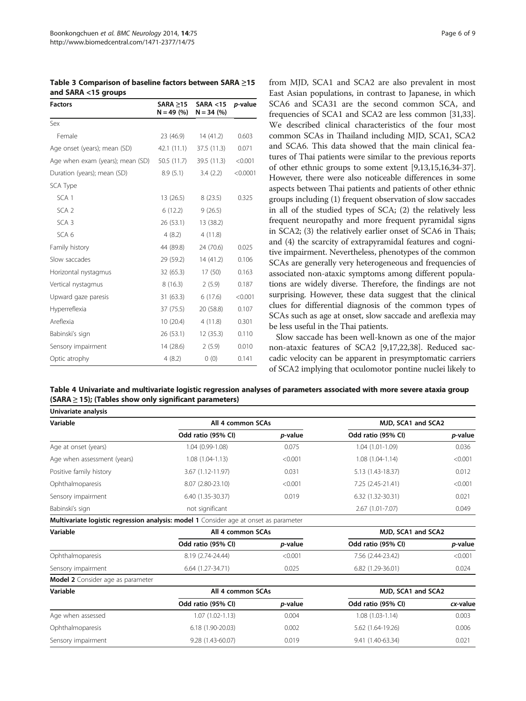<span id="page-5-0"></span>Table 3 Comparison of baseline factors between SARA ≥15 and SARA <15 groups

| <b>Factors</b>                   | SARA > 15<br>$N = 49$ (%) | SARA < 15<br>$N = 34 (%)$ | <i>p</i> -value |
|----------------------------------|---------------------------|---------------------------|-----------------|
| Sex                              |                           |                           |                 |
| Female                           | 23 (46.9)                 | 14(41.2)                  | 0.603           |
| Age onset (years); mean (SD)     | 42.1 (11.1)               | 37.5 (11.3)               | 0.071           |
| Age when exam (years); mean (SD) | 50.5 (11.7)               | 39.5 (11.3)               | < 0.001         |
| Duration (years); mean (SD)      | 8.9(5.1)                  | 3.4(2.2)                  | < 0.0001        |
| SCA Type                         |                           |                           |                 |
| SCA <sub>1</sub>                 | 13(26.5)                  | 8(23.5)                   | 0.325           |
| SCA <sub>2</sub>                 | 6(12.2)                   | 9(26.5)                   |                 |
| SCA <sub>3</sub>                 | 26 (53.1)                 | 13 (38.2)                 |                 |
| SCA <sub>6</sub>                 | 4 (8.2)                   | 4(11.8)                   |                 |
| Family history                   | 44 (89.8)                 | 24 (70.6)                 | 0.025           |
| Slow saccades                    | 29 (59.2)                 | 14(41.2)                  | 0.106           |
| Horizontal nystagmus             | 32 (65.3)                 | 17(50)                    | 0.163           |
| Vertical nystagmus               | 8(16.3)                   | 2(5.9)                    | 0.187           |
| Upward gaze paresis              | 31(63.3)                  | 6(17.6)                   | < 0.001         |
| Hyperreflexia                    | 37 (75.5)                 | 20 (58.8)                 | 0.107           |
| Areflexia                        | 10(20.4)                  | 4(11.8)                   | 0.301           |
| Babinski's sign                  | 26 (53.1)                 | 12(35.3)                  | 0.110           |
| Sensory impairment               | 14(28.6)                  | 2(5.9)                    | 0.010           |
| Optic atrophy                    | 4(8.2)                    | 0(0)                      | 0.141           |

from MJD, SCA1 and SCA2 are also prevalent in most East Asian populations, in contrast to Japanese, in which SCA6 and SCA31 are the second common SCA, and frequencies of SCA1 and SCA2 are less common [\[31,33](#page-8-0)]. We described clinical characteristics of the four most common SCAs in Thailand including MJD, SCA1, SCA2 and SCA6. This data showed that the main clinical features of Thai patients were similar to the previous reports of other ethnic groups to some extent [[9,13,15,16,](#page-7-0)[34](#page-8-0)-[37](#page-8-0)]. However, there were also noticeable differences in some aspects between Thai patients and patients of other ethnic groups including (1) frequent observation of slow saccades in all of the studied types of SCA; (2) the relatively less frequent neuropathy and more frequent pyramidal signs in SCA2; (3) the relatively earlier onset of SCA6 in Thais; and (4) the scarcity of extrapyramidal features and cognitive impairment. Nevertheless, phenotypes of the common SCAs are generally very heterogeneous and frequencies of associated non-ataxic symptoms among different populations are widely diverse. Therefore, the findings are not surprising. However, these data suggest that the clinical clues for differential diagnosis of the common types of SCAs such as age at onset, slow saccade and areflexia may be less useful in the Thai patients.

Slow saccade has been well-known as one of the major non-ataxic features of SCA2 [[9,17,22,](#page-7-0)[38](#page-8-0)]. Reduced saccadic velocity can be apparent in presymptomatic carriers of SCA2 implying that oculomotor pontine nuclei likely to

Table 4 Univariate and multivariate logistic regression analyses of parameters associated with more severe ataxia group  $(SARA \geq 15)$ ; (Tables show only significant parameters)

| Univariate analysis                                                                   |                     |                 |                    |                 |
|---------------------------------------------------------------------------------------|---------------------|-----------------|--------------------|-----------------|
| Variable                                                                              | All 4 common SCAs   |                 | MJD, SCA1 and SCA2 |                 |
|                                                                                       | Odd ratio (95% CI)  | <i>p</i> -value | Odd ratio (95% CI) | <i>p</i> -value |
| Age at onset (years)                                                                  | 1.04 (0.99-1.08)    | 0.075           | $1.04(1.01-1.09)$  | 0.036           |
| Age when assessment (years)                                                           | $1.08(1.04-1.13)$   | < 0.001         | $1.08(1.04-1.14)$  | < 0.001         |
| Positive family history                                                               | 3.67 (1.12-11.97)   | 0.031           | 5.13 (1.43-18.37)  | 0.012           |
| Ophthalmoparesis                                                                      | 8.07 (2.80-23.10)   | < 0.001         | 7.25 (2.45-21.41)  | < 0.001         |
| Sensory impairment                                                                    | 6.40 (1.35-30.37)   | 0.019           | $6.32(1.32-30.31)$ | 0.021           |
| Babinski's sign                                                                       | not significant     |                 | 2.67 (1.01-7.07)   | 0.049           |
| Multivariate logistic regression analysis: model 1 Consider age at onset as parameter |                     |                 |                    |                 |
| Variable                                                                              | All 4 common SCAs   |                 | MJD, SCA1 and SCA2 |                 |
|                                                                                       | Odd ratio (95% CI)  | <i>p</i> -value | Odd ratio (95% CI) | p-value         |
| Ophthalmoparesis                                                                      | 8.19 (2.74-24.44)   | < 0.001         | 7.56 (2.44-23.42)  | < 0.001         |
| Sensory impairment                                                                    | 6.64 (1.27-34.71)   | 0.025           | 6.82 (1.29-36.01)  | 0.024           |
| <b>Model 2</b> Consider age as parameter                                              |                     |                 |                    |                 |
| Variable                                                                              | All 4 common SCAs   |                 | MJD, SCA1 and SCA2 |                 |
|                                                                                       | Odd ratio (95% CI)  | <i>p</i> -value | Odd ratio (95% CI) | cx-value        |
| Age when assessed                                                                     | $1.07(1.02 - 1.13)$ | 0.004           | $1.08(1.03-1.14)$  | 0.003           |
| Ophthalmoparesis                                                                      | 6.18 (1.90-20.03)   | 0.002           | 5.62 (1.64-19.26)  | 0.006           |

Sensory impairment 9.28 (1.43-60.07) 0.019 9.41 (1.40-63.34) 0.021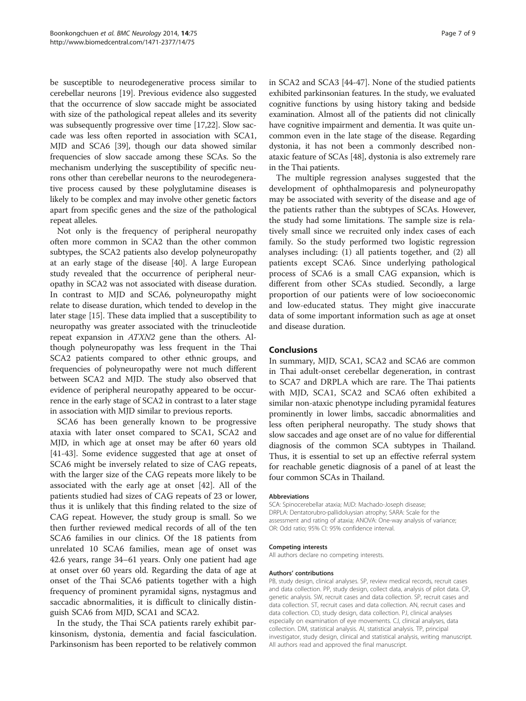be susceptible to neurodegenerative process similar to cerebellar neurons [\[19\]](#page-7-0). Previous evidence also suggested that the occurrence of slow saccade might be associated with size of the pathological repeat alleles and its severity was subsequently progressive over time [[17,22](#page-7-0)]. Slow saccade was less often reported in association with SCA1, MJD and SCA6 [[39](#page-8-0)], though our data showed similar frequencies of slow saccade among these SCAs. So the mechanism underlying the susceptibility of specific neurons other than cerebellar neurons to the neurodegenerative process caused by these polyglutamine diseases is likely to be complex and may involve other genetic factors apart from specific genes and the size of the pathological repeat alleles.

Not only is the frequency of peripheral neuropathy often more common in SCA2 than the other common subtypes, the SCA2 patients also develop polyneuropathy at an early stage of the disease [\[40\]](#page-8-0). A large European study revealed that the occurrence of peripheral neuropathy in SCA2 was not associated with disease duration. In contrast to MJD and SCA6, polyneuropathy might relate to disease duration, which tended to develop in the later stage [[15](#page-7-0)]. These data implied that a susceptibility to neuropathy was greater associated with the trinucleotide repeat expansion in ATXN2 gene than the others. Although polyneuropathy was less frequent in the Thai SCA2 patients compared to other ethnic groups, and frequencies of polyneuropathy were not much different between SCA2 and MJD. The study also observed that evidence of peripheral neuropathy appeared to be occurrence in the early stage of SCA2 in contrast to a later stage in association with MJD similar to previous reports.

SCA6 has been generally known to be progressive ataxia with later onset compared to SCA1, SCA2 and MJD, in which age at onset may be after 60 years old [[41-43](#page-8-0)]. Some evidence suggested that age at onset of SCA6 might be inversely related to size of CAG repeats, with the larger size of the CAG repeats more likely to be associated with the early age at onset [[42\]](#page-8-0). All of the patients studied had sizes of CAG repeats of 23 or lower, thus it is unlikely that this finding related to the size of CAG repeat. However, the study group is small. So we then further reviewed medical records of all of the ten SCA6 families in our clinics. Of the 18 patients from unrelated 10 SCA6 families, mean age of onset was 42.6 years, range 34–61 years. Only one patient had age at onset over 60 years old. Regarding the data of age at onset of the Thai SCA6 patients together with a high frequency of prominent pyramidal signs, nystagmus and saccadic abnormalities, it is difficult to clinically distinguish SCA6 from MJD, SCA1 and SCA2.

In the study, the Thai SCA patients rarely exhibit parkinsonism, dystonia, dementia and facial fasciculation. Parkinsonism has been reported to be relatively common in SCA2 and SCA3 [\[44-47](#page-8-0)]. None of the studied patients exhibited parkinsonian features. In the study, we evaluated cognitive functions by using history taking and bedside examination. Almost all of the patients did not clinically have cognitive impairment and dementia. It was quite uncommon even in the late stage of the disease. Regarding dystonia, it has not been a commonly described nonataxic feature of SCAs [[48\]](#page-8-0), dystonia is also extremely rare in the Thai patients.

The multiple regression analyses suggested that the development of ophthalmoparesis and polyneuropathy may be associated with severity of the disease and age of the patients rather than the subtypes of SCAs. However, the study had some limitations. The sample size is relatively small since we recruited only index cases of each family. So the study performed two logistic regression analyses including: (1) all patients together, and (2) all patients except SCA6. Since underlying pathological process of SCA6 is a small CAG expansion, which is different from other SCAs studied. Secondly, a large proportion of our patients were of low socioeconomic and low-educated status. They might give inaccurate data of some important information such as age at onset and disease duration.

#### Conclusions

In summary, MJD, SCA1, SCA2 and SCA6 are common in Thai adult-onset cerebellar degeneration, in contrast to SCA7 and DRPLA which are rare. The Thai patients with MJD, SCA1, SCA2 and SCA6 often exhibited a similar non-ataxic phenotype including pyramidal features prominently in lower limbs, saccadic abnormalities and less often peripheral neuropathy. The study shows that slow saccades and age onset are of no value for differential diagnosis of the common SCA subtypes in Thailand. Thus, it is essential to set up an effective referral system for reachable genetic diagnosis of a panel of at least the four common SCAs in Thailand.

#### Abbreviations

SCA: Spinocerebellar ataxia; MJD: Machado-Joseph disease; DRPLA: Dentatorubro-pallidoluysian atrophy; SARA: Scale for the assessment and rating of ataxia; ANOVA: One-way analysis of variance; OR: Odd ratio; 95% CI: 95% confidence interval.

#### Competing interests

All authors declare no competing interests.

#### Authors' contributions

PB, study design, clinical analyses. SP, review medical records, recruit cases and data collection. PP, study design, collect data, analysis of pilot data. CP, genetic analysis. SW, recruit cases and data collection. SP, recruit cases and data collection. ST, recruit cases and data collection. AN, recruit cases and data collection. CD, study design, data collection. PJ, clinical analyses especially on examination of eye movements. CJ, clinical analyses, data collection. DM, statistical analysis. AI, statistical analysis. TP, principal investigator, study design, clinical and statistical analysis, writing manuscript. All authors read and approved the final manuscript.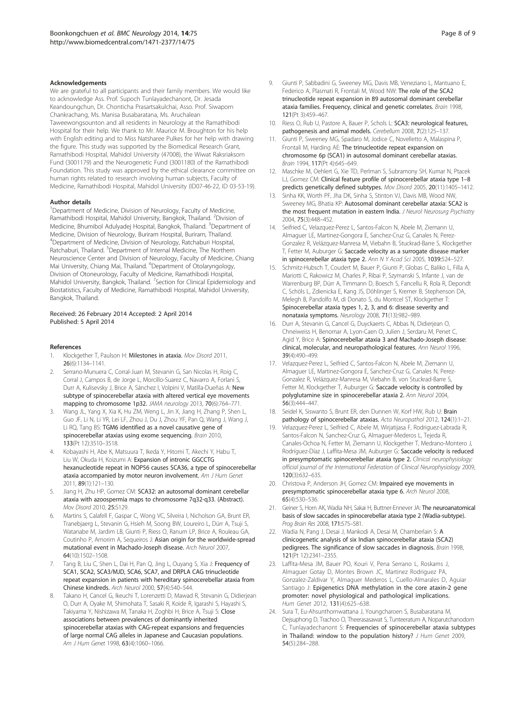#### <span id="page-7-0"></span>Acknowledgements

We are grateful to all participants and their family members. We would like to acknowledge Ass. Prof. Supoch Tunlayadechanont, Dr. Jesada Keandoungchun, Dr. Chonticha Prasartsakulchai, Asso. Prof. Siwaporn Chankrachang, Ms. Manisa Busabaratana, Ms. Aruchalean Taweewongsounton and all residents in Neurology at the Ramathibodi Hospital for their help. We thank to Mr. Maurice M. Broughton for his help with English editing and to Miss Natsharee Pulkes for her help with drawing the figure. This study was supported by the Biomedical Research Grant, Ramathibodi Hospital, Mahidol University (47008), the Wiwat Raksriaksorn Fund (3001179) and the Neurogenetic Fund (3001180) of the Ramathibodi Foundation. This study was approved by the ethical clearance committee on human rights related to research involving human subjects, Faculty of Medicine, Ramathibodi Hospital, Mahidol University (ID07-46-22, ID 03-53-19).

#### Author details

<sup>1</sup>Department of Medicine, Division of Neurology, Faculty of Medicine, Ramathibodi Hospital, Mahidol University, Bangkok, Thailand. <sup>2</sup>Division of Medicine, Bhumibol Adulyadej Hospital, Bangkok, Thailand. <sup>3</sup>Department of Medicine, Division of Neurology, Buriram Hospital, Buriram, Thailand. 4 Department of Medicine, Division of Neurology, Ratchaburi Hospital, Ratchaburi, Thailand. <sup>5</sup>Department of Internal Medicine, The Northern Neuroscience Center and Division of Neurology, Faculty of Medicine, Chiang Mai University, Chiang Mai, Thailand. <sup>6</sup>Department of Otolaryngology, Division of Otoneurology, Faculty of Medicine, Ramathibodi Hospital, Mahidol University, Bangkok, Thailand. <sup>7</sup>Section for Clinical Epidemiology and Biostatistics, Faculty of Medicine, Ramathibodi Hospital, Mahidol University, Bangkok, Thailand.

#### Received: 26 February 2014 Accepted: 2 April 2014 Published: 5 April 2014

#### References

- 1. Klockgether T, Paulson H: Milestones in ataxia. Mov Disord 2011, 26(6):1134–1141.
- 2. Serrano-Munuera C, Corral-Juan M, Stevanin G, San Nicolas H, Roig C, Corral J, Campos B, de Jorge L, Morcillo-Suarez C, Navarro A, Forlani S, Durr A, Kulisevsky J, Brice A, Sánchez I, Volpini V, Matilla-Dueñas A: New subtype of spinocerebellar ataxia with altered vertical eye movements mapping to chromosome 1p32. JAMA neurology 2013, 70(6):764–771.
- Wang JL, Yang X, Xia K, Hu ZM, Weng L, Jin X, Jiang H, Zhang P, Shen L, Guo JF, Li N, Li YR, Lei LF, Zhou J, Du J, Zhou YF, Pan Q, Wang J, Wang J, Li RQ, Tang BS: TGM6 identified as a novel causative gene of spinocerebellar ataxias using exome sequencing. Brain 2010, 133(Pt 12):3510–3518.
- 4. Kobayashi H, Abe K, Matsuura T, Ikeda Y, Hitomi T, Akechi Y, Habu T, Liu W, Okuda H, Koizumi A: Expansion of intronic GGCCTG hexanucleotide repeat in NOP56 causes SCA36, a type of spinocerebellar ataxia accompanied by motor neuron involvement. Am J Hum Genet 2011, 89(1):121–130.
- 5. Jiang H, Zhu HP, Gomez CM: SCA32: an autosomal dominant cerebellar ataxia with azoospermia maps to chromosome 7q32-q33. (Abstract). Mov Disord 2010, 25:S129.
- 6. Martins S, Calafell F, Gaspar C, Wong VC, Silveira I, Nicholson GA, Brunt ER, Tranebjaerg L, Stevanin G, Hsieh M, Soong BW, Loureiro L, Dürr A, Tsuji S, Watanabe M, Jardim LB, Giunti P, Riess O, Ranum LP, Brice A, Rouleau GA, Coutinho P, Amorim A, Sequeiros J: Asian origin for the worldwide-spread mutational event in Machado-Joseph disease. Arch Neurol 2007, 64(10):1502–1508.
- 7. Tang B, Liu C, Shen L, Dai H, Pan Q, Jing L, Ouyang S, Xia J: Frequency of SCA1, SCA2, SCA3/MJD, SCA6, SCA7, and DRPLA CAG trinucleotide repeat expansion in patients with hereditary spinocerebellar ataxia from Chinese kindreds. Arch Neurol 2000, 57(4):540–544.
- Takano H, Cancel G, Ikeuchi T, Lorenzetti D, Mawad R, Stevanin G, Didierjean O, Durr A, Oyake M, Shimohata T, Sasaki R, Koide R, Igarashi S, Hayashi S, Takiyama Y, Nishizawa M, Tanaka H, Zoghbi H, Brice A, Tsuji S: Close associations between prevalences of dominantly inherited spinocerebellar ataxias with CAG-repeat expansions and frequencies of large normal CAG alleles in Japanese and Caucasian populations. Am J Hum Genet 1998, 63(4):1060-1066.
- 9. Giunti P, Sabbadini G, Sweeney MG, Davis MB, Veneziano L, Mantuano E, Federico A, Plasmati R, Frontali M, Wood NW: The role of the SCA2 trinucleotide repeat expansion in 89 autosomal dominant cerebellar ataxia families. Frequency, clinical and genetic correlates. Brain 1998, 121(Pt 3):459–467.
- 10. Riess O, Rub U, Pastore A, Bauer P, Schols L: SCA3: neurological features, pathogenesis and animal models. Cerebellum 2008, 7(2):125–137.
- 11. Giunti P, Sweeney MG, Spadaro M, Jodice C, Novelletto A, Malaspina P, Frontali M, Harding AE: The trinucleotide repeat expansion on chromosome 6p (SCA1) in autosomal dominant cerebellar ataxias. Brain 1994, 117(Pt 4):645–649.
- 12. Maschke M, Oehlert G, Xie TD, Perlman S, Subramony SH, Kumar N, Ptacek LJ, Gomez CM: Clinical feature profile of spinocerebellar ataxia type 1–8 predicts genetically defined subtypes. Mov Disord 2005, 20(11):1405–1412.
- 13. Sinha KK, Worth PF, Jha DK, Sinha S, Stinton VJ, Davis MB, Wood NW, Sweeney MG, Bhatia KP: Autosomal dominant cerebellar ataxia: SCA2 is the most frequent mutation in eastern India. J Neurol Neurosurg Psychiatry 2004, 75(3):448–452.
- 14. Seifried C, Velazquez-Perez L, Santos-Falcon N, Abele M, Ziemann U, Almaguer LE, Martinez-Gongora E, Sanchez-Cruz G, Canales N, Perez-Gonzalez R, Velázquez-Manresa M, Viebahn B, Stuckrad-Barre S, Klockgether T, Fetter M, Auburger G: Saccade velocity as a surrogate disease marker in spinocerebellar ataxia type 2. Ann N Y Acad Sci 2005, 1039:524–527.
- 15. Schmitz-Hubsch T, Coudert M, Bauer P, Giunti P, Globas C, Baliko L, Filla A, Mariotti C, Rakowicz M, Charles P, Ribai P, Szymanski S, Infante J, van de Warrenburg BP, Dürr A, Timmann D, Boesch S, Fancellu R, Rola R, Depondt C, Schöls L, Zdienicka E, Kang JS, Döhlinger S, Kremer B, Stephenson DA, Melegh B, Pandolfo M, di Donato S, du Montcel ST, Klockgether T: Spinocerebellar ataxia types 1, 2, 3, and 6: disease severity and nonataxia symptoms. Neurology 2008, 71(13):982–989.
- 16. Durr A, Stevanin G, Cancel G, Duyckaerts C, Abbas N, Didierjean O, Chneiweiss H, Benomar A, Lyon-Caen O, Julien J, Serdaru M, Penet C, Agid Y, Brice A: Spinocerebellar ataxia 3 and Machado-Joseph disease: clinical, molecular, and neuropathological features. Ann Neurol 1996, 39(4):490–499.
- 17. Velazquez-Perez L, Seifried C, Santos-Falcon N, Abele M, Ziemann U, Almaguer LE, Martinez-Gongora E, Sanchez-Cruz G, Canales N, Perez-Gonzalez R, Velázquez-Manresa M, Viebahn B, von Stuckrad-Barre S, Fetter M, Klockgether T, Auburger G: Saccade velocity is controlled by polyglutamine size in spinocerebellar ataxia 2. Ann Neurol 2004, 56(3):444–447.
- 18. Seidel K, Siswanto S, Brunt ER, den Dunnen W, Korf HW, Rub U: Brain pathology of spinocerebellar ataxias. Acta Neuropathol 2012, 124(1):1–21.
- 19. Velazquez-Perez L, Seifried C, Abele M, Wirjatijasa F, Rodriguez-Labrada R, Santos-Falcon N, Sanchez-Cruz G, Almaguer-Mederos L, Tejeda R, Canales-Ochoa N, Fetter M, Ziemann U, Klockgether T, Medrano-Montero J, Rodríguez-Díaz J, Laffita-Mesa JM, Auburger G: Saccade velocity is reduced in presymptomatic spinocerebellar ataxia type 2. Clinical neurophysiology: official journal of the International Federation of Clinical Neurophysiology 2009, 120(3):632–635.
- 20. Christova P, Anderson JH, Gomez CM: Impaired eye movements in presymptomatic spinocerebellar ataxia type 6. Arch Neurol 2008, 65(4):530–536.
- 21. Geiner S, Horn AK, Wadia NH, Sakai H, Buttner-Ennever JA: The neuroanatomical basis of slow saccades in spinocerebellar ataxia type 2 (Wadia-subtype). Prog Brain Res 2008, 171:575–581.
- 22. Wadia N, Pang J, Desai J, Mankodi A, Desai M, Chamberlain S: A clinicogenetic analysis of six Indian spinocerebellar ataxia (SCA2) pedigrees. The significance of slow saccades in diagnosis. Brain 1998, 121(Pt 12):2341–2355.
- 23. Laffita-Mesa JM, Bauer PO, Kouri V, Pena Serrano L, Roskams J, Almaguer Gotay D, Montes Brown JC, Martinez Rodriguez PA, Gonzalez-Zaldivar Y, Almaguer Mederos L, Cuello-Almarales D, Aguiar Santiago J: Epigenetics DNA methylation in the core ataxin-2 gene promoter: novel physiological and pathological implications. Hum Genet 2012, 131(4):625–638.
- 24. Sura T, Eu-Ahsunthornwattana J, Youngcharoen S, Busabaratana M, Dejsuphong D, Trachoo O, Theerasasawat S, Tunteeratum A, Noparutchanodom C, Tunlayadechanont S: Frequencies of spinocerebellar ataxia subtypes in Thailand: window to the population history? J Hum Genet 2009, 54(5):284–288.